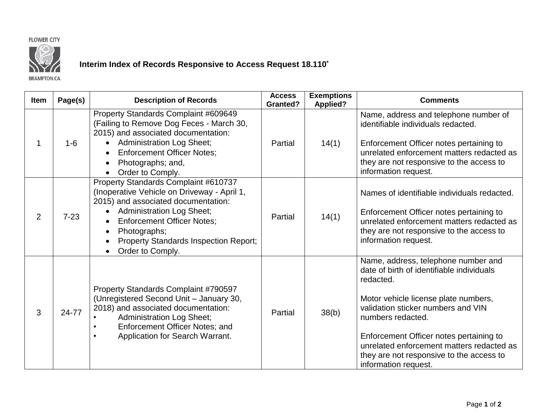## **FLOWER CITY**



## **Interim Index of Records Responsive to Access Request 18.110\***

**BRAMPTON.CA** 

| <b>Item</b>    | Page(s)  | <b>Description of Records</b>                                                                                                                                                                                                                                                                                     | <b>Access</b><br><b>Granted?</b> | <b>Exemptions</b><br><b>Applied?</b> | <b>Comments</b>                                                                                                                                                                                                                                                                                                                                              |
|----------------|----------|-------------------------------------------------------------------------------------------------------------------------------------------------------------------------------------------------------------------------------------------------------------------------------------------------------------------|----------------------------------|--------------------------------------|--------------------------------------------------------------------------------------------------------------------------------------------------------------------------------------------------------------------------------------------------------------------------------------------------------------------------------------------------------------|
|                | $1-6$    | Property Standards Complaint #609649<br>(Failing to Remove Dog Feces - March 30,<br>2015) and associated documentation:<br><b>Administration Log Sheet;</b><br><b>Enforcement Officer Notes:</b><br>Photographs; and,<br>$\bullet$<br>Order to Comply.                                                            | Partial                          | 14(1)                                | Name, address and telephone number of<br>identifiable individuals redacted.<br>Enforcement Officer notes pertaining to<br>unrelated enforcement matters redacted as<br>they are not responsive to the access to<br>information request.                                                                                                                      |
| $\overline{2}$ | $7 - 23$ | Property Standards Complaint #610737<br>(Inoperative Vehicle on Driveway - April 1,<br>2015) and associated documentation:<br><b>Administration Log Sheet;</b><br>$\bullet$<br><b>Enforcement Officer Notes;</b><br>Photographs;<br><b>Property Standards Inspection Report;</b><br>$\bullet$<br>Order to Comply. | Partial                          | 14(1)                                | Names of identifiable individuals redacted.<br>Enforcement Officer notes pertaining to<br>unrelated enforcement matters redacted as<br>they are not responsive to the access to<br>information request.                                                                                                                                                      |
| 3              | 24-77    | Property Standards Complaint #790597<br>(Unregistered Second Unit - January 30,<br>2018) and associated documentation:<br><b>Administration Log Sheet;</b><br>Enforcement Officer Notes; and<br>Application for Search Warrant.                                                                                   | Partial                          | 38(b)                                | Name, address, telephone number and<br>date of birth of identifiable individuals<br>redacted.<br>Motor vehicle license plate numbers,<br>validation sticker numbers and VIN<br>numbers redacted.<br>Enforcement Officer notes pertaining to<br>unrelated enforcement matters redacted as<br>they are not responsive to the access to<br>information request. |